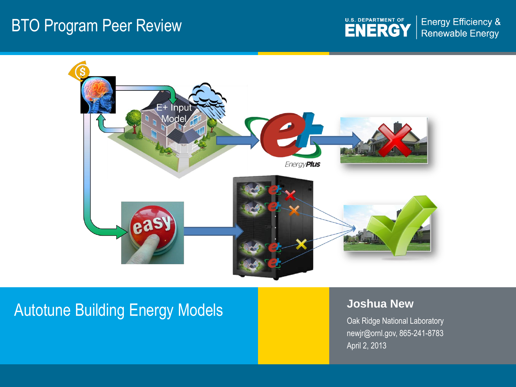### BTO Program Peer Review

U.S. DEPARTMENT OF **Energy Efficiency & Renewable Energy** 



# Autotune Building Energy Models **Joshua New Autotune Building Energy Models**

Oak Ridge National Laboratory newjr@ornl.gov, 865-241-8783 April 2, 2013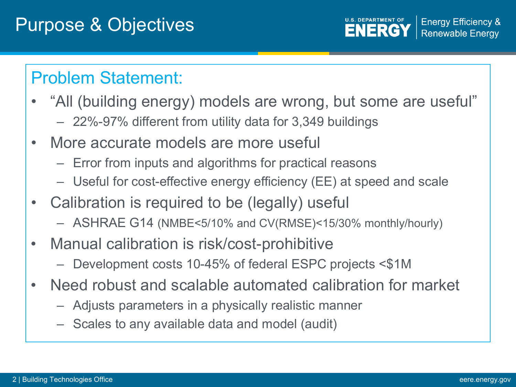**U.S. DEPARTMENT OF Energy Efficiency & ENERGY Renewable Energy** 

### Problem Statement:

- "All (building energy) models are wrong, but some are useful" – 22%-97% different from utility data for 3,349 buildings
- More accurate models are more useful
	- Error from inputs and algorithms for practical reasons
	- Useful for cost-effective energy efficiency (EE) at speed and scale
- Calibration is required to be (legally) useful
	- ASHRAE G14 (NMBE<5/10% and CV(RMSE)<15/30% monthly/hourly)
- Manual calibration is risk/cost-prohibitive
	- Development costs 10-45% of federal ESPC projects <\$1M
- Need robust and scalable automated calibration for market
	- Adjusts parameters in a physically realistic manner
	- Scales to any available data and model (audit)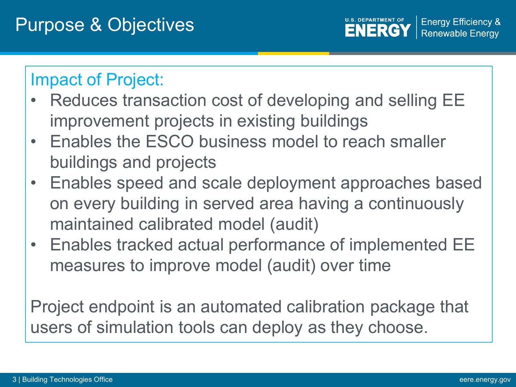**Energy Efficiency & U.S. DEPARTMENT OF ENERG Renewable Energy** 

### Impact of Project:

- Reduces transaction cost of developing and selling EE improvement projects in existing buildings
- Enables the ESCO business model to reach smaller buildings and projects
- Enables speed and scale deployment approaches based on every building in served area having a continuously maintained calibrated model (audit)
- Enables tracked actual performance of implemented EE measures to improve model (audit) over time

Project endpoint is an automated calibration package that users of simulation tools can deploy as they choose.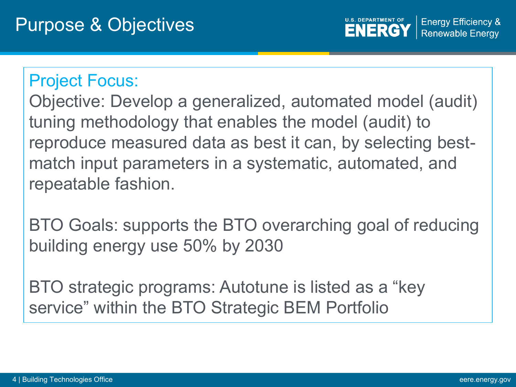**U.S. DEPARTMENT OF Energy Efficiency & ENERGY Renewable Energy** 

### Project Focus:

Objective: Develop a generalized, automated model (audit) tuning methodology that enables the model (audit) to reproduce measured data as best it can, by selecting bestmatch input parameters in a systematic, automated, and repeatable fashion.

BTO Goals: supports the BTO overarching goal of reducing building energy use 50% by 2030

BTO strategic programs: Autotune is listed as a "key service" within the BTO Strategic BEM Portfolio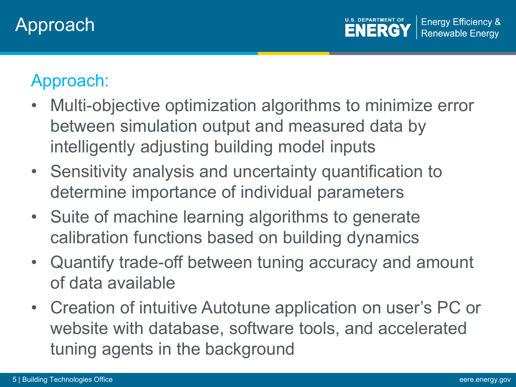# Approach:

- Multi-objective optimization algorithms to minimize error between simulation output and measured data by intelligently adjusting building model inputs
- Sensitivity analysis and uncertainty quantification to determine importance of individual parameters
- Suite of machine learning algorithms to generate calibration functions based on building dynamics
- Quantify trade-off between tuning accuracy and amount of data available
- Creation of intuitive Autotune application on user's PC or website with database, software tools, and accelerated tuning agents in the background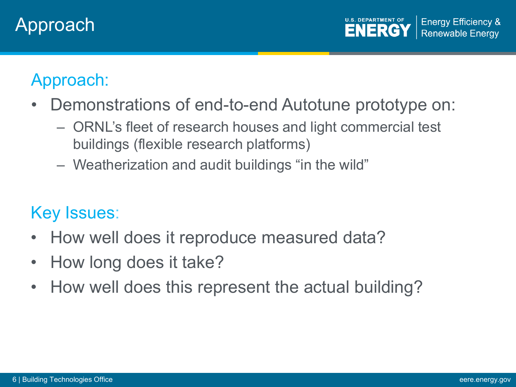## Approach

**U.S. DEPARTMENT OF Energy Efficiency & ENERGY Renewable Energy** 

## Approach:

- Demonstrations of end-to-end Autotune prototype on:
	- ORNL's fleet of research houses and light commercial test buildings (flexible research platforms)
	- Weatherization and audit buildings "in the wild"

### Key Issues:

- How well does it reproduce measured data?
- How long does it take?
- How well does this represent the actual building?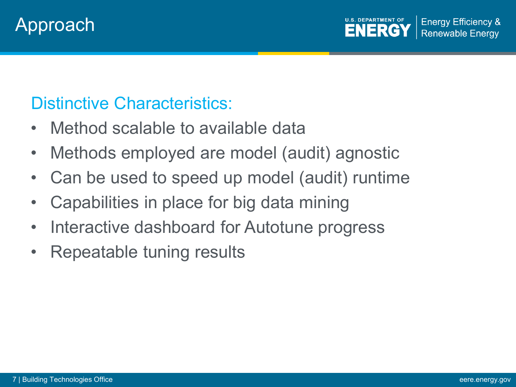

### Distinctive Characteristics:

- Method scalable to available data
- Methods employed are model (audit) agnostic
- Can be used to speed up model (audit) runtime
- Capabilities in place for big data mining
- Interactive dashboard for Autotune progress
- Repeatable tuning results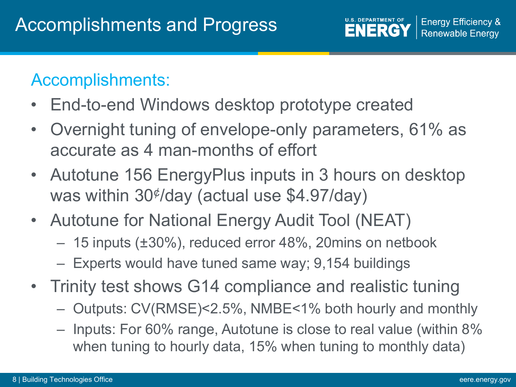### Accomplishments:

- End-to-end Windows desktop prototype created
- Overnight tuning of envelope-only parameters, 61% as accurate as 4 man-months of effort
- Autotune 156 EnergyPlus inputs in 3 hours on desktop was within 30¢ /day (actual use \$4.97/day)
- Autotune for National Energy Audit Tool (NEAT)
	- 15 inputs (±30%), reduced error 48%, 20mins on netbook
	- Experts would have tuned same way; 9,154 buildings
- Trinity test shows G14 compliance and realistic tuning
	- Outputs: CV(RMSE)<2.5%, NMBE<1% both hourly and monthly
	- Inputs: For 60% range, Autotune is close to real value (within 8% when tuning to hourly data, 15% when tuning to monthly data)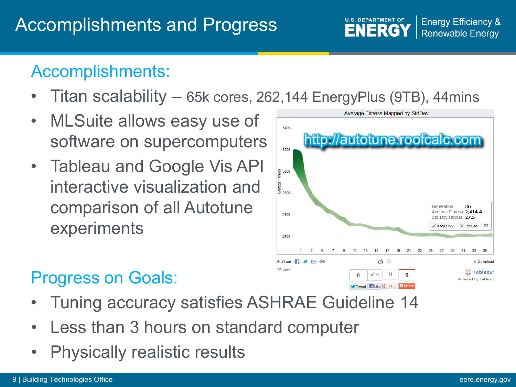### **Energy Efficiency & ENERGY Renewable Energy**

### Accomplishments:

- Titan scalability 65k cores, 262,144 EnergyPlus (9TB), 44mins
- MLSuite allows easy use of software on supercomputers
- Tableau and Google Vis API interactive visualization and comparison of all Autotune experiments



**U.S. DEPARTMENT OF** 

# Progress on Goals:

- Tuning accuracy satisfies ASHRAE Guideline 14
- Less than 3 hours on standard computer
- Physically realistic results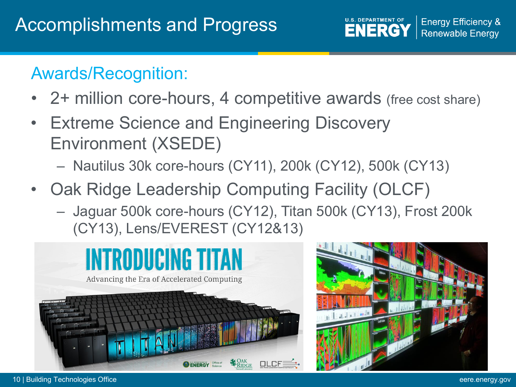

### Awards/Recognition:

- 2+ million core-hours, 4 competitive awards (free cost share)
- Extreme Science and Engineering Discovery Environment (XSEDE)
	- Nautilus 30k core-hours (CY11), 200k (CY12), 500k (CY13)
- Oak Ridge Leadership Computing Facility (OLCF)
	- Jaguar 500k core-hours (CY12), Titan 500k (CY13), Frost 200k (CY13), Lens/EVEREST (CY12&13)



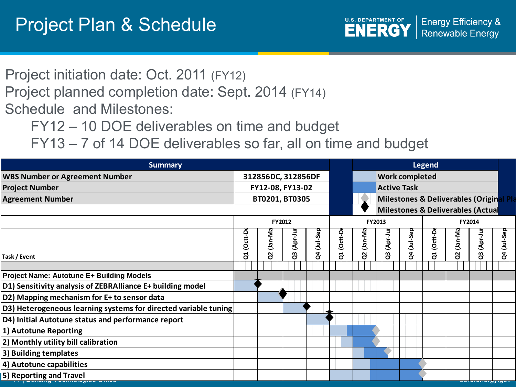

Project initiation date: Oct. 2011 (FY12) Project planned completion date: Sept. 2014 (FY14) Schedule and Milestones:

FY12 – 10 DOE deliverables on time and budget

FY13 – 7 of 14 DOE deliverables so far, all on time and budget

| <b>Summary</b>                                                  |                  |                    |          |          |                    | Legend                                             |                                   |                       |         |                    |                            |          |
|-----------------------------------------------------------------|------------------|--------------------|----------|----------|--------------------|----------------------------------------------------|-----------------------------------|-----------------------|---------|--------------------|----------------------------|----------|
| <b>WBS Number or Agreement Number</b>                           |                  | 312856DC, 312856DF |          |          |                    |                                                    |                                   | <b>Work completed</b> |         |                    |                            |          |
| <b>Project Number</b>                                           | FY12-08, FY13-02 |                    |          |          | <b>Active Task</b> |                                                    |                                   |                       |         |                    |                            |          |
| <b>Agreement Number</b>                                         | BT0201, BT0305   |                    |          |          |                    | <b>Milestones &amp; Deliverables (Original Pla</b> |                                   |                       |         |                    |                            |          |
|                                                                 |                  |                    |          |          |                    |                                                    | Milestones & Deliverables (Actual |                       |         |                    |                            |          |
|                                                                 |                  | <b>FY2012</b>      |          |          |                    | FY2013<br><b>FY2014</b>                            |                                   |                       |         |                    |                            |          |
|                                                                 |                  | (Jan-Ma            |          |          |                    |                                                    |                                   |                       |         |                    |                            | (Jul-Sep |
|                                                                 | (Octt-D          |                    | (Apr-Jul | (Jul-Sep | (Octt-D            | (Jan-Ma                                            | (Apr-Ju                           | (Jul-Sep              | (Octt-D | Uan-M <sub>i</sub> | (Apr-Ju                    |          |
| Task / Event                                                    | ទី               | g                  | G,       | g        | đ                  | g                                                  | ဗိ                                | ð.                    | ដ       | g                  | <b>ვ</b>                   | g        |
|                                                                 |                  |                    |          |          |                    |                                                    |                                   |                       |         |                    |                            |          |
| <b>Project Name: Autotune E+ Building Models</b>                |                  |                    |          |          |                    |                                                    |                                   |                       |         |                    |                            |          |
| D1) Sensitivity analysis of ZEBRAlliance E+ building model      |                  |                    |          |          |                    |                                                    |                                   |                       |         |                    |                            |          |
| D2) Mapping mechanism for E+ to sensor data                     |                  |                    |          |          |                    |                                                    |                                   |                       |         |                    |                            |          |
| D3) Heterogeneous learning systems for directed variable tuning |                  |                    |          |          |                    |                                                    |                                   |                       |         |                    |                            |          |
| D4) Initial Autotune status and performance report              |                  |                    |          |          |                    |                                                    |                                   |                       |         |                    |                            |          |
| 1) Autotune Reporting                                           |                  |                    |          |          |                    |                                                    |                                   |                       |         |                    |                            |          |
| 2) Monthly utility bill calibration                             |                  |                    |          |          |                    |                                                    |                                   |                       |         |                    |                            |          |
| 3) Building templates                                           |                  |                    |          |          |                    |                                                    |                                   |                       |         |                    |                            |          |
| 4) Autotune capabilities                                        |                  |                    |          |          |                    |                                                    |                                   |                       |         |                    |                            |          |
| 5) Reporting and Travel                                         |                  |                    |          |          |                    |                                                    |                                   |                       |         |                    | <u>, a. o. o. o. g. go</u> |          |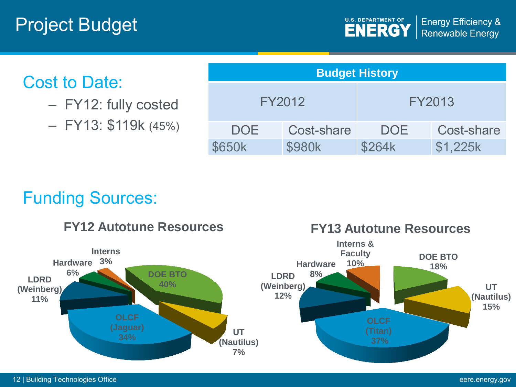### Cost to Date:

- FY12: fully costed
- FY13: \$119k (45%)

| <b>Budget History</b> |            |            |            |  |  |  |  |  |  |
|-----------------------|------------|------------|------------|--|--|--|--|--|--|
| FY2012                |            | FY2013     |            |  |  |  |  |  |  |
| <b>DOE</b>            | Cost-share | <b>DOE</b> | Cost-share |  |  |  |  |  |  |
| <b>\$650k</b>         | \$980k     | \$264k     | \$1,225k   |  |  |  |  |  |  |

### Funding Sources:

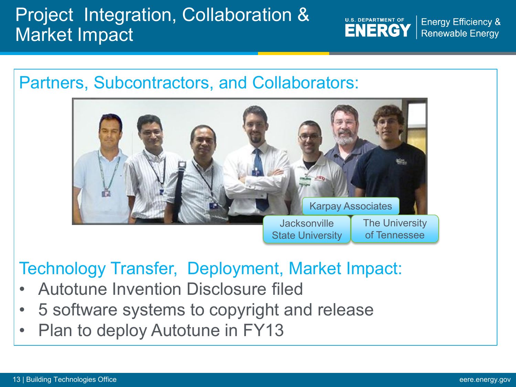# Project Integration, Collaboration & Market Impact

**U.S. DEPARTMENT OF ENERGY** 

**Energy Efficiency & Renewable Energy** 



### Technology Transfer, Deployment, Market Impact:

- Autotune Invention Disclosure filed
- 5 software systems to copyright and release
- Plan to deploy Autotune in FY13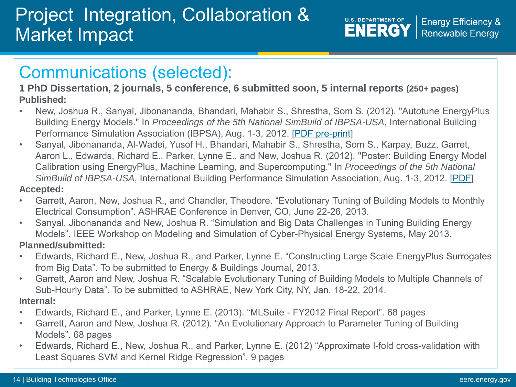# Project Integration, Collaboration & Market Impact

**U.S. DEPARTMENT OF ENERGY** 

**Energy Efficiency & Renewable Energy** 

### Communications (selected):

**1 PhD Dissertation, 2 journals, 5 conference, 6 submitted soon, 5 internal reports (250+ pages) Published:**

- New, Joshua R., Sanyal, Jibonananda, Bhandari, Mahabir S., Shrestha, Som S. (2012). "Autotune EnergyPlus Building Energy Models." In *Proceedings of the 5th National SimBuild of IBPSA-USA*, International Building Performance Simulation Association (IBPSA), Aug. 1-3, 2012. [\[PDF pre-print\]](http://web.eecs.utk.edu/~new/publications/2012_SimBuild.pdf)
- Sanyal, Jibonananda, Al-Wadei, Yusof H., Bhandari, Mahabir S., Shrestha, Som S., Karpay, Buzz, Garret, Aaron L., Edwards, Richard E., Parker, Lynne E., and New, Joshua R. (2012). "Poster: Building Energy Model Calibration using EnergyPlus, Machine Learning, and Supercomputing." In *Proceedings of the 5th National SimBuild of IBPSA-USA*, International Building Performance Simulation Association, Aug. 1-3, 2012. [[PDF](http://web.eecs.utk.edu/~new/publications/2012_SimBuild_poster.pdf)] **Accepted:**
- Garrett, Aaron, New, Joshua R., and Chandler, Theodore. "Evolutionary Tuning of Building Models to Monthly Electrical Consumption". ASHRAE Conference in Denver, CO, June 22-26, 2013.
- Sanyal, Jibonananda and New, Joshua R. "Simulation and Big Data Challenges in Tuning Building Energy Models". IEEE Workshop on Modeling and Simulation of Cyber-Physical Energy Systems, May 2013. **Planned/submitted:**
- Edwards, Richard E., New, Joshua R., and Parker, Lynne E. "Constructing Large Scale EnergyPlus Surrogates from Big Data". To be submitted to Energy & Buildings Journal, 2013.
- Garrett, Aaron and New, Joshua R. "Scalable Evolutionary Tuning of Building Models to Multiple Channels of Sub-Hourly Data". To be submitted to ASHRAE, New York City, NY, Jan. 18-22, 2014.
- **Internal:**
- Edwards, Richard E., and Parker, Lynne E. (2013). "MLSuite FY2012 Final Report". 68 pages
- Garrett, Aaron and New, Joshua R. (2012). "An Evolutionary Approach to Parameter Tuning of Building Models". 68 pages
- Edwards, Richard E., New, Joshua R., and Parker, Lynne E. (2012) "Approximate l-fold cross-validation with Least Squares SVM and Kernel Ridge Regression". 9 pages